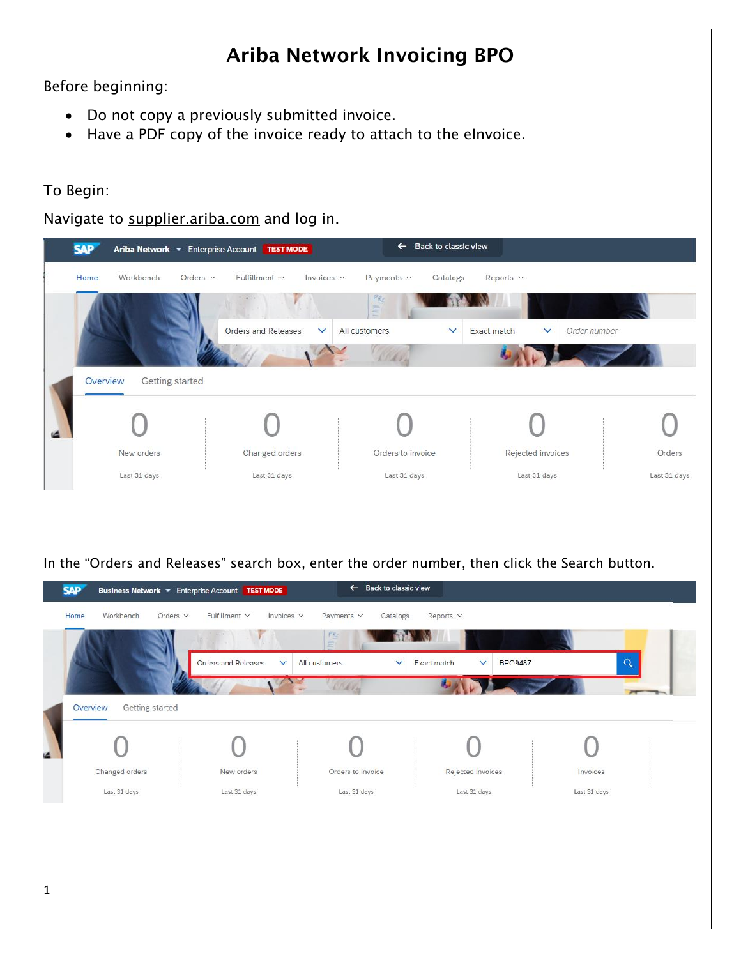## Ariba Network Invoicing BPO

Before beginning:

- Do not copy a previously submitted invoice.
- Have a PDF copy of the invoice ready to attach to the eInvoice.

To Begin:

Navigate to supplier.ariba.com and log in.



In the "Orders and Releases" search box, enter the order number, then click the Search button.

| <b>SAP</b><br>Business Network > Enterprise Account | <b>TEST MODE</b>                    | $\leftarrow$ Back to classic view |                                               |              |  |
|-----------------------------------------------------|-------------------------------------|-----------------------------------|-----------------------------------------------|--------------|--|
| Home<br>Workbench<br>Orders $\sim$                  | Fulfillment ~<br>Invoices $\sim$    | Payments ~<br>Catalogs            | Reports v                                     |              |  |
|                                                     |                                     | $rac{PR}{2}$                      |                                               |              |  |
|                                                     | Orders and Releases<br>$\checkmark$ | $\checkmark$<br>All customers     | <b>BPO9487</b><br>Exact match<br>$\checkmark$ | $\alpha$     |  |
|                                                     |                                     | Crave                             |                                               |              |  |
| Getting started<br>Overview                         |                                     |                                   |                                               |              |  |
|                                                     |                                     |                                   |                                               |              |  |
|                                                     |                                     |                                   |                                               |              |  |
| Changed orders                                      | New orders                          | Orders to invoice                 | Rejected invoices                             | Invoices     |  |
| Last 31 days                                        | Last 31 days                        | Last 31 days                      | Last 31 days                                  | Last 31 days |  |
|                                                     |                                     |                                   |                                               |              |  |
|                                                     |                                     |                                   |                                               |              |  |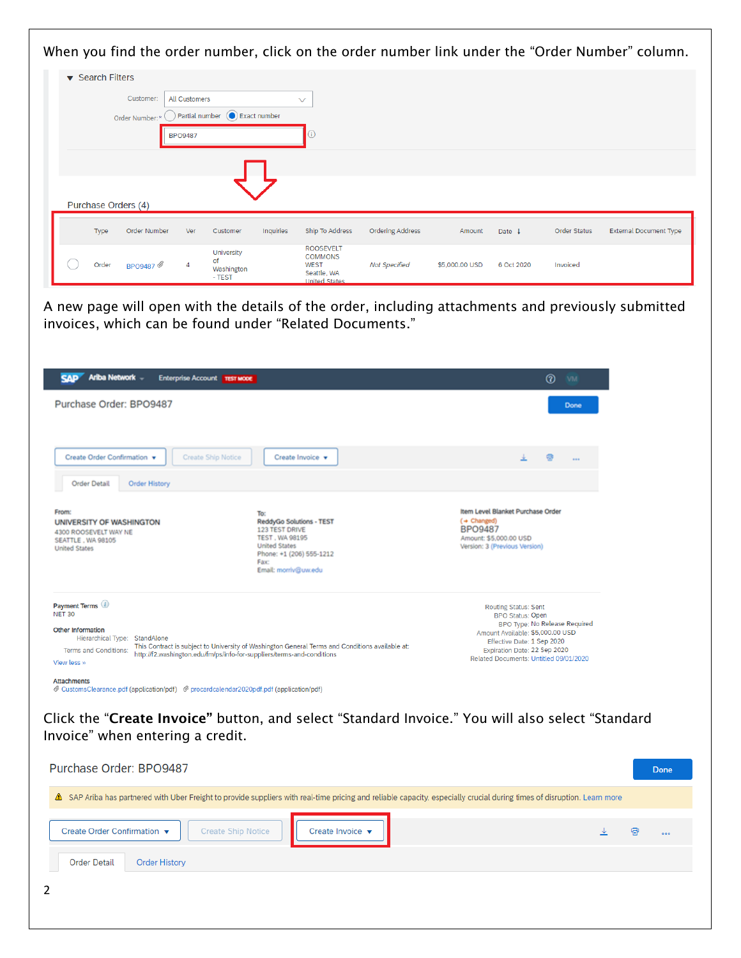When you find the order number, click on the order number link under the "Order Number" column.

| $\blacktriangleright$ Search Filters |                     |               |                                 |           |                 |                         |        |                   |              |                               |  |  |
|--------------------------------------|---------------------|---------------|---------------------------------|-----------|-----------------|-------------------------|--------|-------------------|--------------|-------------------------------|--|--|
|                                      | Customer:           | All Customers |                                 |           | $\checkmark$    |                         |        |                   |              |                               |  |  |
|                                      | Order Number:*      |               | Partial number (C) Exact number |           |                 |                         |        |                   |              |                               |  |  |
| <b>BPO9487</b><br>Œ.                 |                     |               |                                 |           |                 |                         |        |                   |              |                               |  |  |
|                                      |                     |               |                                 |           |                 |                         |        |                   |              |                               |  |  |
|                                      |                     |               |                                 |           |                 |                         |        |                   |              |                               |  |  |
|                                      |                     |               |                                 |           |                 |                         |        |                   |              |                               |  |  |
|                                      | Purchase Orders (4) |               |                                 |           |                 |                         |        |                   |              |                               |  |  |
| Type                                 | Order Number        | Ver           | Customer                        | Inquiries | Ship To Address | <b>Ordering Address</b> | Amount | Date $\downarrow$ | Order Status | <b>External Document Type</b> |  |  |

A new page will open with the details of the order, including attachments and previously submitted invoices, which can be found under "Related Documents."

| Ariba Network -<br><b>GAD</b>                                                                                                                    | <b>Enterprise Account TEST MODE</b>                                                                                                                                       | $^{\circ}$<br><b>VM</b>                                                                                                                                                                                                             |
|--------------------------------------------------------------------------------------------------------------------------------------------------|---------------------------------------------------------------------------------------------------------------------------------------------------------------------------|-------------------------------------------------------------------------------------------------------------------------------------------------------------------------------------------------------------------------------------|
| Purchase Order: BPO9487                                                                                                                          |                                                                                                                                                                           | Done                                                                                                                                                                                                                                |
|                                                                                                                                                  |                                                                                                                                                                           |                                                                                                                                                                                                                                     |
| Create Order Confirmation v                                                                                                                      | Create Ship Notice<br>Create Invoice v                                                                                                                                    | ø<br>王<br>$\cdots$                                                                                                                                                                                                                  |
| <b>Order Detail</b><br>Order History                                                                                                             |                                                                                                                                                                           |                                                                                                                                                                                                                                     |
| From:<br>UNIVERSITY OF WASHINGTON<br>4300 ROOSEVELT WAY NE<br>SEATTLE, WA 98105<br><b>United States</b>                                          | To:<br>ReddyGo Solutions - TEST<br>123 TEST DRIVE<br><b>TEST. WA 98195</b><br><b>United States</b><br>Phone: +1 (206) 555-1212<br>Fax:<br>Email: morriv@uw.edu            | Item Level Blanket Purchase Order<br>(+ Changed)<br><b>BPO9487</b><br>Amount: \$5,000.00 USD<br>Version: 3 (Previous Version)                                                                                                       |
| Payment Terms <sup>1</sup><br><b>NFT 30</b><br><b>Other Information</b><br>Hierarchical Type: StandAlone<br>Terms and Conditions:<br>View less » | This Contract is subject to University of Washington General Terms and Conditions available at:<br>http://f2.washington.edu/fm/ps/info-for-suppliers/terms-and-conditions | <b>Routing Status: Sent</b><br><b>BPO Status: Open</b><br>BPO Type: No Release Required<br>Amount Available: \$5,000.00 USD<br>Effective Date: 1 Sep 2020<br>Expiration Date: 22 Sep 2020<br>Related Documents: Untitled 09/01/2020 |
| <b>Attachments</b>                                                                                                                               |                                                                                                                                                                           |                                                                                                                                                                                                                                     |

Click the "Create Invoice" button, and select "Standard Invoice." You will also select "Standard Invoice" when entering a credit.

| Purchase Order: BPO9487                                                                                                                                                | Done |
|------------------------------------------------------------------------------------------------------------------------------------------------------------------------|------|
| SAP Ariba has partnered with Uber Freight to provide suppliers with real-time pricing and reliable capacity, especially crucial during times of disruption. Learn more |      |
| 鼎<br>Create Order Confirmation ▼<br><b>Create Ship Notice</b><br>Create Invoice v                                                                                      | 000  |
| <b>Order Detail</b><br><b>Order History</b>                                                                                                                            |      |
| 2                                                                                                                                                                      |      |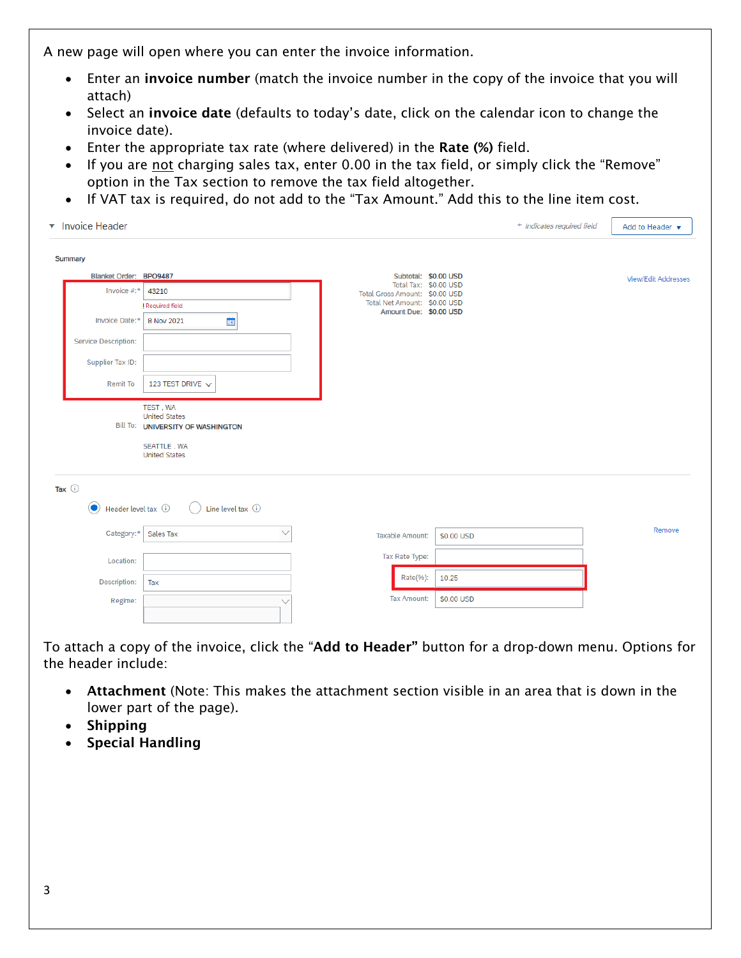A new page will open where you can enter the invoice information.

- Enter an invoice number (match the invoice number in the copy of the invoice that you will attach)
- Select an invoice date (defaults to today's date, click on the calendar icon to change the invoice date).
- Enter the appropriate tax rate (where delivered) in the Rate (%) field.
- If you are not charging sales tax, enter 0.00 in the tax field, or simply click the "Remove" option in the Tax section to remove the tax field altogether.
- If VAT tax is required, do not add to the "Tax Amount." Add this to the line item cost.

| ▼ Invoice Header                                        |                                     |                                                        |                       | * Indicates required field | Add to Header v     |
|---------------------------------------------------------|-------------------------------------|--------------------------------------------------------|-----------------------|----------------------------|---------------------|
| Summary                                                 |                                     |                                                        |                       |                            |                     |
| Blanket Order: BPO9487                                  |                                     |                                                        | Subtotal: \$0.00 USD  |                            | View/Edit Addresses |
| Invoice $#$ :*                                          | 43210                               | Total Gross Amount: \$0.00 USD                         | Total Tax: \$0.00 USD |                            |                     |
|                                                         | ! Required field                    | Total Net Amount: \$0.00 USD<br>Amount Due: \$0.00 USD |                       |                            |                     |
| Invoice Date:*                                          | ■<br>8 Nov 2021                     |                                                        |                       |                            |                     |
| <b>Service Description:</b>                             |                                     |                                                        |                       |                            |                     |
| Supplier Tax ID:                                        |                                     |                                                        |                       |                            |                     |
| <b>Remit To</b>                                         | 123 TEST DRIVE V                    |                                                        |                       |                            |                     |
|                                                         | SEATTLE, WA<br><b>United States</b> |                                                        |                       |                            |                     |
| Tax $\odot$<br>$\bullet$<br>Header level tax $\bigcirc$ | Line level tax $\bigcirc$           |                                                        |                       |                            |                     |
| Category:*                                              | Sales Tax<br>$\checkmark$           | Taxable Amount:                                        | \$0.00 USD            |                            | Remove              |
|                                                         |                                     |                                                        |                       |                            |                     |
| Location:                                               |                                     | Tax Rate Type:                                         |                       |                            |                     |
| Description:                                            | Tax                                 | Rate(%):                                               | 10.25                 |                            |                     |
| Regime:                                                 | $\checkmark$                        | Tax Amount:                                            | \$0.00 USD            |                            |                     |
|                                                         |                                     |                                                        |                       |                            |                     |

To attach a copy of the invoice, click the "Add to Header" button for a drop-down menu. Options for the header include:

- Attachment (Note: This makes the attachment section visible in an area that is down in the lower part of the page).
- Shipping
- Special Handling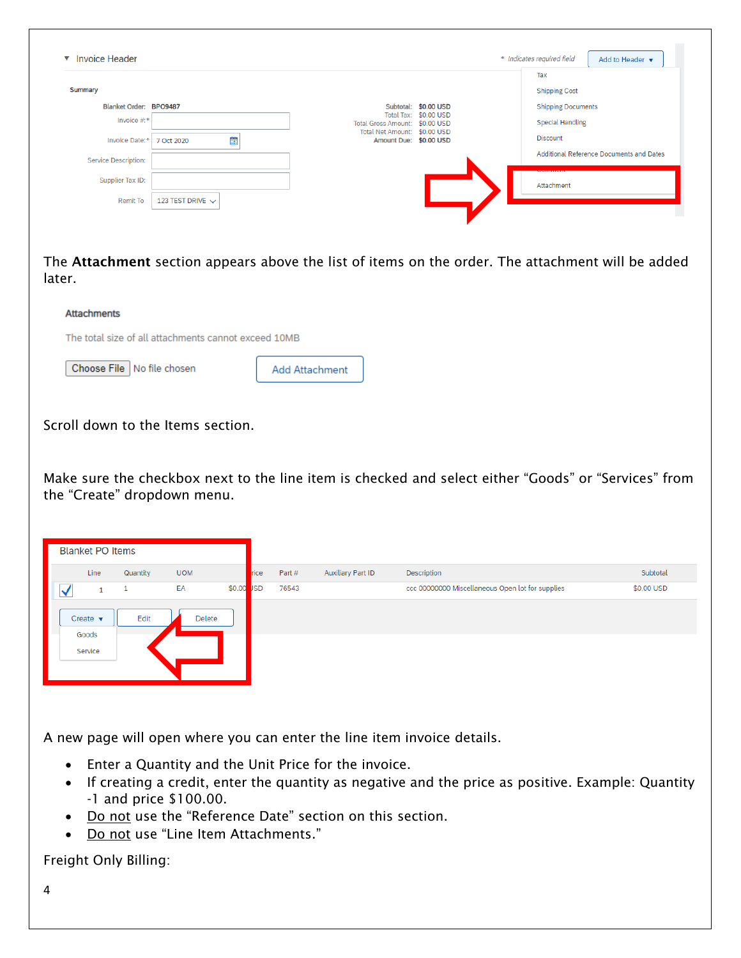| <b>Invoice Header</b>       |                          |                                                        |                       | * Indicates required field<br>Tax | Add to Header v                          |
|-----------------------------|--------------------------|--------------------------------------------------------|-----------------------|-----------------------------------|------------------------------------------|
| <b>Summary</b>              |                          |                                                        |                       | <b>Shipping Cost</b>              |                                          |
| Blanket Order: BPO9487      |                          |                                                        | Subtotal: \$0.00 USD  | <b>Shipping Documents</b>         |                                          |
| Invoice #:*                 |                          | Total Gross Amount: \$0.00 USD                         | Total Tax: \$0.00 USD | <b>Special Handling</b>           |                                          |
| Invoice Date:*              | 繭<br>7 Oct 2020          | Total Net Amount: \$0.00 USD<br>Amount Due: \$0.00 USD |                       | <b>Discount</b>                   |                                          |
| <b>Service Description:</b> |                          |                                                        |                       |                                   | Additional Reference Documents and Dates |
| Supplier Tax ID:            |                          |                                                        |                       | Attachment                        |                                          |
| <b>Remit To</b>             | 123 TEST DRIVE $\sqrt{}$ |                                                        |                       |                                   |                                          |

The Attachment section appears above the list of items on the order. The attachment will be added later.

| <b>Attachments</b>                                   |                |
|------------------------------------------------------|----------------|
| The total size of all attachments cannot exceed 10MB |                |
| Choose File   No file chosen                         | Add Attachment |

Scroll down to the Items section.

Make sure the checkbox next to the line item is checked and select either "Goods" or "Services" from the "Create" dropdown menu.

| <b>Blanket PO Items</b>                         |          |               |             |             |        |                          |                                                  |            |
|-------------------------------------------------|----------|---------------|-------------|-------------|--------|--------------------------|--------------------------------------------------|------------|
| Line                                            | Quantity | <b>UOM</b>    |             | <b>rice</b> | Part # | <b>Auxiliary Part ID</b> | Description                                      | Subtotal   |
| 1                                               |          | EA            | $$0.00$ JSD |             | 76543  |                          | ccc 00000000 Miscellaneous Open lot for supplies | \$0.00 USD |
| Create $\blacktriangledown$<br>Goods<br>Service | Edit     | <b>Delete</b> |             |             |        |                          |                                                  |            |

A new page will open where you can enter the line item invoice details.

- Enter a Quantity and the Unit Price for the invoice.
- If creating a credit, enter the quantity as negative and the price as positive. Example: Quantity -1 and price \$100.00.
- Do not use the "Reference Date" section on this section.
- Do not use "Line Item Attachments."

Freight Only Billing: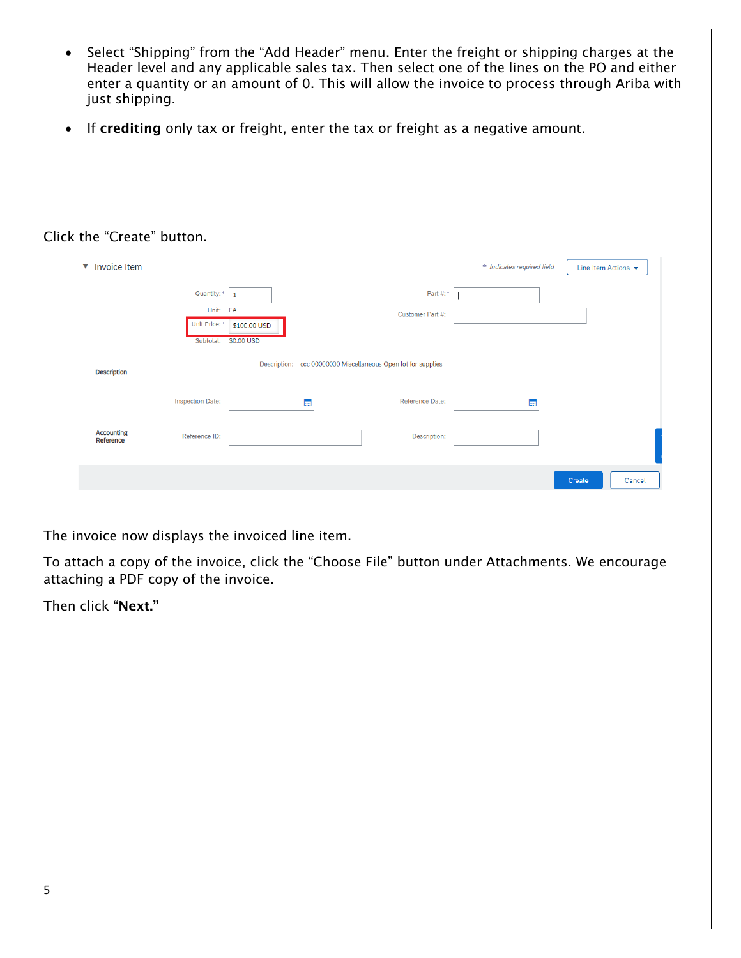- Select "Shipping" from the "Add Header" menu. Enter the freight or shipping charges at the Header level and any applicable sales tax. Then select one of the lines on the PO and either enter a quantity or an amount of 0. This will allow the invoice to process through Ariba with just shipping.
- If crediting only tax or freight, enter the tax or freight as a negative amount.

## v Invoice Item \* Indicates required field Line Item Actions  $\mathbf{\mathbf{v}}$ Part #:\*  $\boxed{1}$ Quantity: $\parallel$  1 Unit: EA Customer Part #: Unit Price:\* \$100.00 USD Subtotal: \$0.00 USD Description: ccc 00000000 Miscellaneous Open lot for supplies **Description** Reference Date: **Inspection Date: EXE**  $\frac{1}{100}$ **Accounting** Reference ID: Description: Reference Create Cancel

The invoice now displays the invoiced line item.

To attach a copy of the invoice, click the "Choose File" button under Attachments. We encourage attaching a PDF copy of the invoice.

Then click "Next."

Click the "Create" button.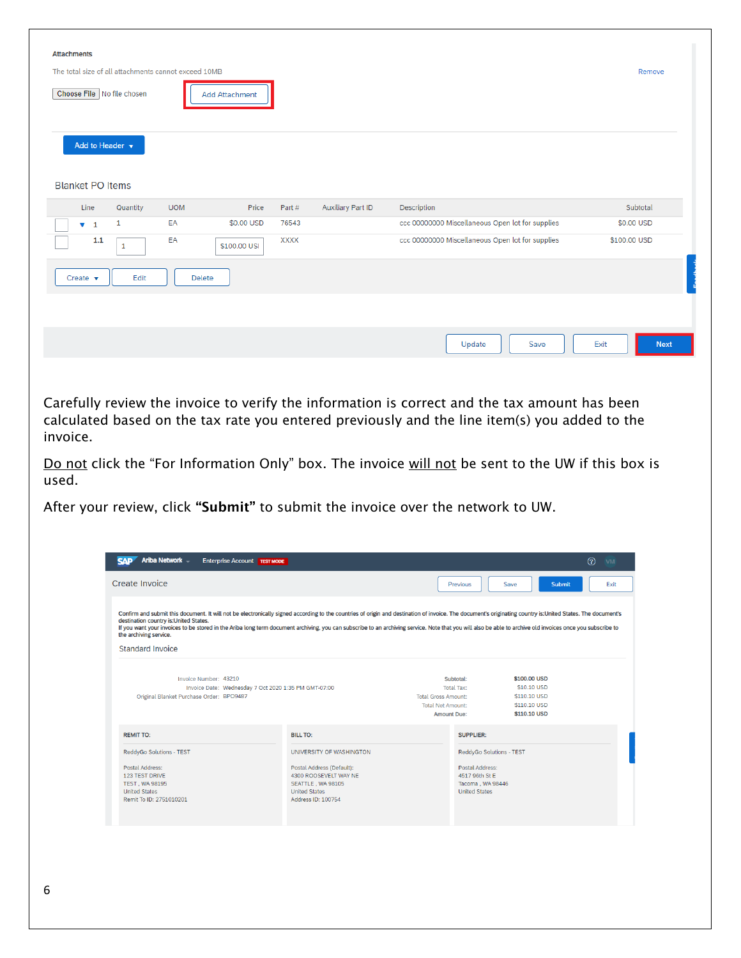| <b>Attachments</b><br>The total size of all attachments cannot exceed 10MB |              |            |                       |             |                   |                                                  | Remove              |
|----------------------------------------------------------------------------|--------------|------------|-----------------------|-------------|-------------------|--------------------------------------------------|---------------------|
| Choose File No file chosen                                                 |              |            | <b>Add Attachment</b> |             |                   |                                                  |                     |
| Add to Header $\sqrt{}$<br><b>Blanket PO Items</b>                         |              |            |                       |             |                   |                                                  |                     |
| Line                                                                       | Quantity     | <b>UOM</b> | Price                 | Part#       | Auxiliary Part ID | Description                                      | Subtotal            |
| $\nabla$ 1                                                                 | 1            | EA         | \$0.00 USD            | 76543       |                   | ccc 00000000 Miscellaneous Open lot for supplies | \$0,00 USD          |
| 1.1                                                                        | $\mathbf{1}$ | EA         | \$100.00 USI          | <b>XXXX</b> |                   | ccc 00000000 Miscellaneous Open lot for supplies | \$100.00 USD        |
| Create $\mathbf{\mathbf{v}}$                                               | Edit         |            | <b>Delete</b>         |             |                   |                                                  |                     |
|                                                                            |              |            |                       |             |                   |                                                  |                     |
|                                                                            |              |            |                       |             |                   | Update<br>Save                                   | Exit<br><b>Next</b> |

Carefully review the invoice to verify the information is correct and the tax amount has been calculated based on the tax rate you entered previously and the line item(s) you added to the invoice.

Do not click the "For Information Only" box. The invoice will not be sent to the UW if this box is used.

After your review, click "Submit" to submit the invoice over the network to UW.

| <b>Create Invoice</b>                                                                                                                                                                                                                                                                                                                                                                                                                                                                                                    |                                                                                                                       |                                               | Previous                                                                       | Save                                                                        | <b>Submit</b> |  | Exit |
|--------------------------------------------------------------------------------------------------------------------------------------------------------------------------------------------------------------------------------------------------------------------------------------------------------------------------------------------------------------------------------------------------------------------------------------------------------------------------------------------------------------------------|-----------------------------------------------------------------------------------------------------------------------|-----------------------------------------------|--------------------------------------------------------------------------------|-----------------------------------------------------------------------------|---------------|--|------|
| Confirm and submit this document. It will not be electronically signed according to the countries of origin and destination of invoice. The document's originating country is:United States. The document's<br>destination country is: United States.<br>If you want your invoices to be stored in the Ariba long term document archiving, you can subscribe to an archiving service. Note that you will also be able to archive old invoices once you subscribe to<br>the archiving service.<br><b>Standard Invoice</b> |                                                                                                                       |                                               |                                                                                |                                                                             |               |  |      |
| Invoice Number: 43210<br>Invoice Date: Wednesday 7 Oct 2020 1:35 PM GMT-07:00<br>Original Blanket Purchase Order: BPO9487                                                                                                                                                                                                                                                                                                                                                                                                | <b>Total Gross Amount:</b><br><b>Total Net Amount:</b>                                                                | Subtotal:<br>Total Tax:<br><b>Amount Due:</b> |                                                                                | \$100.00 USD<br>\$10.10 USD<br>\$110.10 USD<br>\$110.10 USD<br>\$110.10 USD |               |  |      |
| <b>REMIT TO:</b>                                                                                                                                                                                                                                                                                                                                                                                                                                                                                                         | <b>BILL TO:</b>                                                                                                       |                                               | <b>SUPPLIER:</b>                                                               |                                                                             |               |  |      |
| ReddyGo Solutions - TEST                                                                                                                                                                                                                                                                                                                                                                                                                                                                                                 | UNIVERSITY OF WASHINGTON                                                                                              |                                               | ReddyGo Solutions - TEST                                                       |                                                                             |               |  |      |
| Postal Address:<br>123 TEST DRIVE<br><b>TEST. WA 98195</b><br><b>United States</b><br>Remit To ID: 2751010201                                                                                                                                                                                                                                                                                                                                                                                                            | Postal Address (Default):<br>4300 ROOSEVELT WAY NE<br>SEATTLE, WA 98105<br><b>United States</b><br>Address ID: 100754 |                                               | Postal Address:<br>4517 96th St E<br>Tacoma , WA 98446<br><b>United States</b> |                                                                             |               |  |      |